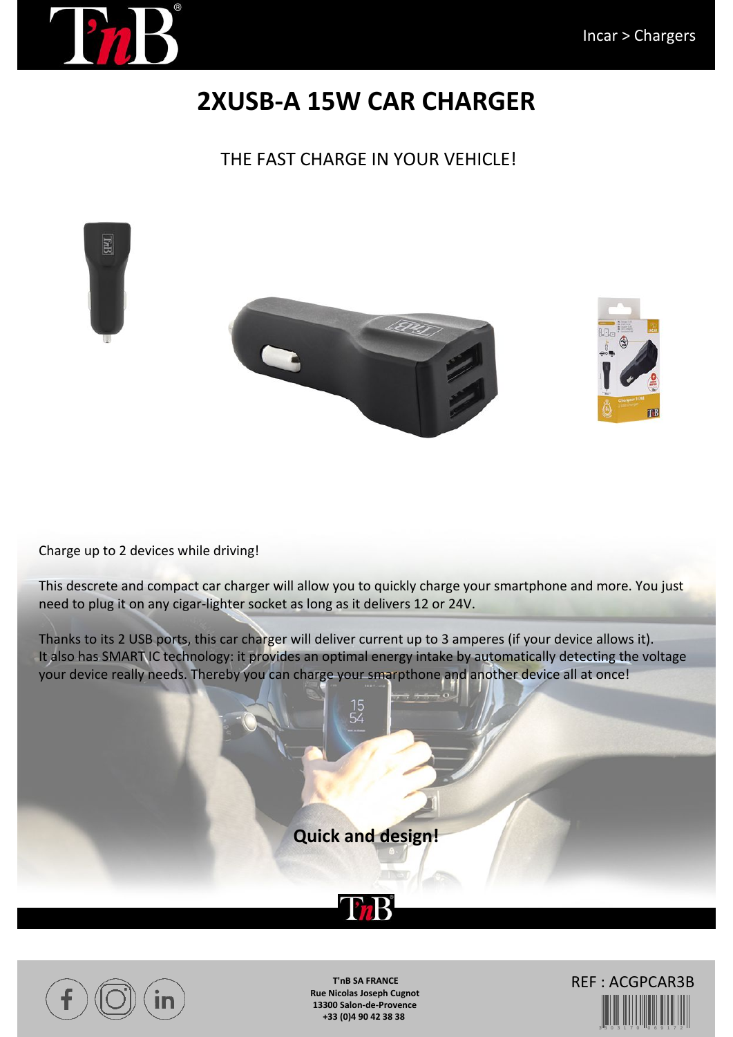

## **2XUSB-A 15W CAR CHARGER**

## THE FAST CHARGE IN YOUR VEHICLE!





This descrete and compact car charger will allow you to quickly charge your smartphone and more. You just need to plug it on any cigar-lighter socket as long as it delivers 12 or 24V.

Thanks to its 2 USB ports, this car charger will deliver current up to 3 amperes (if your device allows it). It also has SMART IC technology: it provides an optimal energy intake by automatically detecting the voltage your device really needs. Thereby you can charge your smarpthone and another device all at once!

**Quick and design!**





**T'nB SA FRANCE Rue Nicolas Joseph Cugnot 13300 Salon-de-Provence +33 (0)4 90 42 38 38**